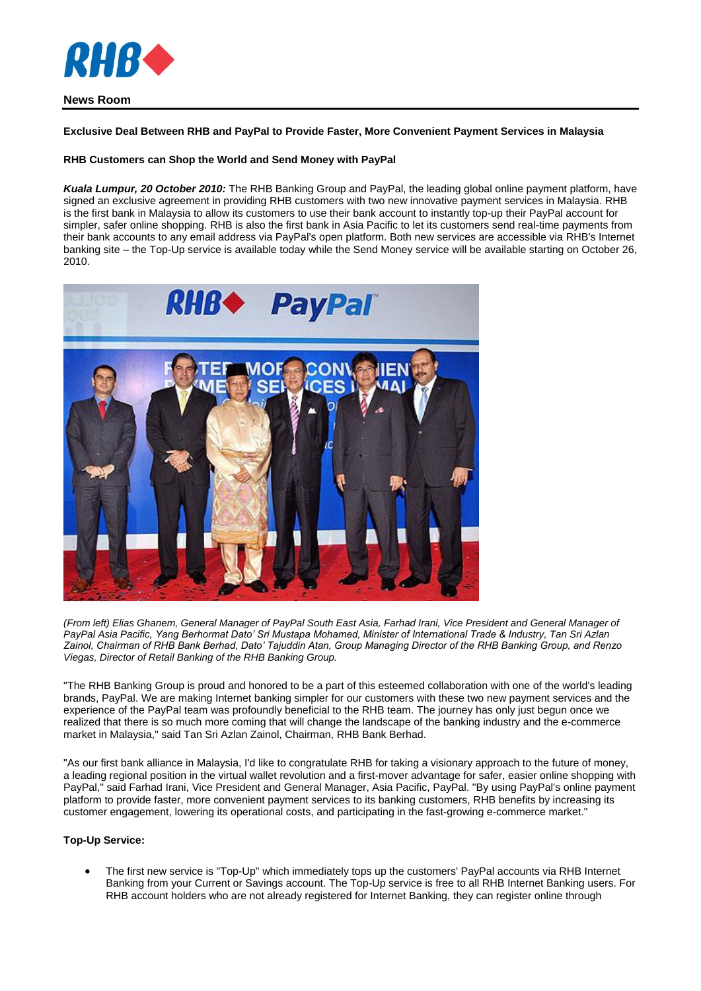

# **News Room**

### **Exclusive Deal Between RHB and PayPal to Provide Faster, More Convenient Payment Services in Malaysia**

# **RHB Customers can Shop the World and Send Money with PayPal**

*Kuala Lumpur, 20 October 2010:* The RHB Banking Group and PayPal, the leading global online payment platform, have signed an exclusive agreement in providing RHB customers with two new innovative payment services in Malaysia. RHB is the first bank in Malaysia to allow its customers to use their bank account to instantly top-up their PayPal account for simpler, safer online shopping. RHB is also the first bank in Asia Pacific to let its customers send real-time payments from their bank accounts to any email address via PayPal's open platform. Both new services are accessible via RHB's Internet banking site – the Top-Up service is available today while the Send Money service will be available starting on October 26, 2010.



*(From left) Elias Ghanem, General Manager of PayPal South East Asia, Farhad Irani, Vice President and General Manager of PayPal Asia Pacific, Yang Berhormat Dato' Sri Mustapa Mohamed, Minister of International Trade & Industry, Tan Sri Azlan Zainol, Chairman of RHB Bank Berhad, Dato' Tajuddin Atan, Group Managing Director of the RHB Banking Group, and Renzo Viegas, Director of Retail Banking of the RHB Banking Group.*

"The RHB Banking Group is proud and honored to be a part of this esteemed collaboration with one of the world's leading brands, PayPal. We are making Internet banking simpler for our customers with these two new payment services and the experience of the PayPal team was profoundly beneficial to the RHB team. The journey has only just begun once we realized that there is so much more coming that will change the landscape of the banking industry and the e-commerce market in Malaysia," said Tan Sri Azlan Zainol, Chairman, RHB Bank Berhad.

"As our first bank alliance in Malaysia, I'd like to congratulate RHB for taking a visionary approach to the future of money, a leading regional position in the virtual wallet revolution and a first-mover advantage for safer, easier online shopping with PayPal," said Farhad Irani, Vice President and General Manager, Asia Pacific, PayPal. "By using PayPal's online payment platform to provide faster, more convenient payment services to its banking customers, RHB benefits by increasing its customer engagement, lowering its operational costs, and participating in the fast-growing e-commerce market."

#### **Top-Up Service:**

 The first new service is "Top-Up" which immediately tops up the customers' PayPal accounts via RHB Internet Banking from your Current or Savings account. The Top-Up service is free to all RHB Internet Banking users. For RHB account holders who are not already registered for Internet Banking, they can register online through